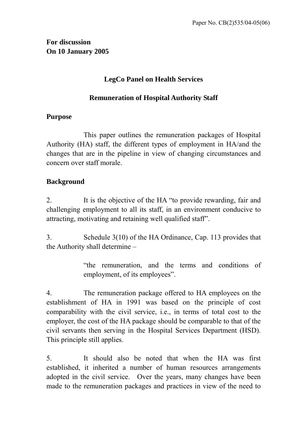# **LegCo Panel on Health Services**

# **Remuneration of Hospital Authority Staff**

#### **Purpose**

 This paper outlines the remuneration packages of Hospital Authority (HA) staff, the different types of employment in HA/and the changes that are in the pipeline in view of changing circumstances and concern over staff morale.

# **Background**

2. It is the objective of the HA "to provide rewarding, fair and challenging employment to all its staff, in an environment conducive to attracting, motivating and retaining well qualified staff".

3. Schedule 3(10) of the HA Ordinance, Cap. 113 provides that the Authority shall determine –

> "the remuneration, and the terms and conditions of employment, of its employees".

4. The remuneration package offered to HA employees on the establishment of HA in 1991 was based on the principle of cost comparability with the civil service, i.e., in terms of total cost to the employer, the cost of the HA package should be comparable to that of the civil servants then serving in the Hospital Services Department (HSD). This principle still applies.

5. It should also be noted that when the HA was first established, it inherited a number of human resources arrangements adopted in the civil service. Over the years, many changes have been made to the remuneration packages and practices in view of the need to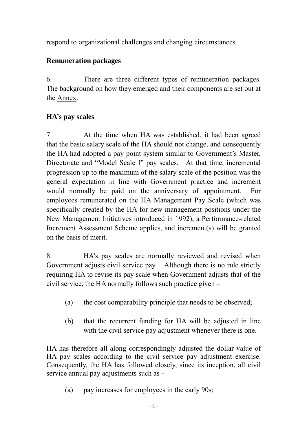respond to organizational challenges and changing circumstances.

# **Remuneration packages**

6. There are three different types of remuneration packages. The background on how they emerged and their components are set out at the Annex.

# **HA's pay scales**

7. At the time when HA was established, it had been agreed that the basic salary scale of the HA should not change, and consequently the HA had adopted a pay point system similar to Government's Master, Directorate and "Model Scale I" pay scales. At that time, incremental progression up to the maximum of the salary scale of the position was the general expectation in line with Government practice and increment would normally be paid on the anniversary of appointment. For employees remunerated on the HA Management Pay Scale (which was specifically created by the HA for new management positions under the New Management Initiatives introduced in 1992), a Performance-related Increment Assessment Scheme applies, and increment(s) will be granted on the basis of merit.

8. HA's pay scales are normally reviewed and revised when Government adjusts civil service pay. Although there is no rule strictly requiring HA to revise its pay scale when Government adjusts that of the civil service, the HA normally follows such practice given –

- (a) the cost comparability principle that needs to be observed;
- (b) that the recurrent funding for HA will be adjusted in line with the civil service pay adjustment whenever there is one.

HA has therefore all along correspondingly adjusted the dollar value of HA pay scales according to the civil service pay adjustment exercise. Consequently, the HA has followed closely, since its inception, all civil service annual pay adjustments such as –

(a) pay increases for employees in the early 90s;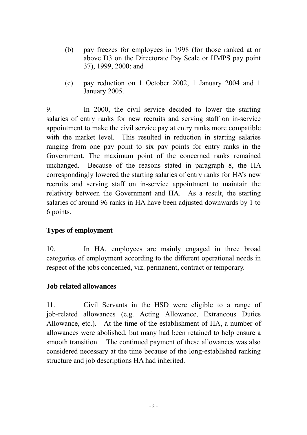- (b) pay freezes for employees in 1998 (for those ranked at or above D3 on the Directorate Pay Scale or HMPS pay point 37), 1999, 2000; and
- (c) pay reduction on 1 October 2002, 1 January 2004 and 1 January 2005.

9. In 2000, the civil service decided to lower the starting salaries of entry ranks for new recruits and serving staff on in-service appointment to make the civil service pay at entry ranks more compatible with the market level. This resulted in reduction in starting salaries ranging from one pay point to six pay points for entry ranks in the Government. The maximum point of the concerned ranks remained unchanged. Because of the reasons stated in paragraph 8, the HA correspondingly lowered the starting salaries of entry ranks for HA's new recruits and serving staff on in-service appointment to maintain the relativity between the Government and HA. As a result, the starting salaries of around 96 ranks in HA have been adjusted downwards by 1 to 6 points.

# **Types of employment**

10. In HA, employees are mainly engaged in three broad categories of employment according to the different operational needs in respect of the jobs concerned, viz. permanent, contract or temporary.

# **Job related allowances**

11. Civil Servants in the HSD were eligible to a range of job-related allowances (e.g. Acting Allowance, Extraneous Duties Allowance, etc.). At the time of the establishment of HA, a number of allowances were abolished, but many had been retained to help ensure a smooth transition. The continued payment of these allowances was also considered necessary at the time because of the long-established ranking structure and job descriptions HA had inherited.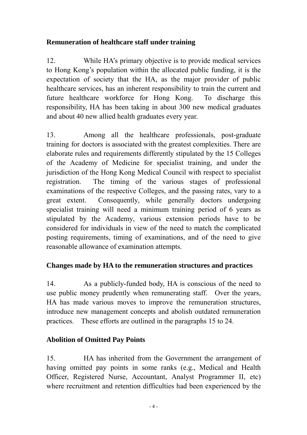# **Remuneration of healthcare staff under training**

12. While HA's primary objective is to provide medical services to Hong Kong's population within the allocated public funding, it is the expectation of society that the HA, as the major provider of public healthcare services, has an inherent responsibility to train the current and future healthcare workforce for Hong Kong. To discharge this responsibility, HA has been taking in about 300 new medical graduates and about 40 new allied health graduates every year.

13. Among all the healthcare professionals, post-graduate training for doctors is associated with the greatest complexities. There are elaborate rules and requirements differently stipulated by the 15 Colleges of the Academy of Medicine for specialist training, and under the jurisdiction of the Hong Kong Medical Council with respect to specialist registration. The timing of the various stages of professional examinations of the respective Colleges, and the passing rates, vary to a great extent. Consequently, while generally doctors undergoing specialist training will need a minimum training period of 6 years as stipulated by the Academy, various extension periods have to be considered for individuals in view of the need to match the complicated posting requirements, timing of examinations, and of the need to give reasonable allowance of examination attempts.

# **Changes made by HA to the remuneration structures and practices**

14. As a publicly-funded body, HA is conscious of the need to use public money prudently when remunerating staff. Over the years, HA has made various moves to improve the remuneration structures, introduce new management concepts and abolish outdated remuneration practices. These efforts are outlined in the paragraphs 15 to 24.

# **Abolition of Omitted Pay Points**

15. HA has inherited from the Government the arrangement of having omitted pay points in some ranks (e.g., Medical and Health Officer, Registered Nurse, Accountant, Analyst Programmer II, etc) where recruitment and retention difficulties had been experienced by the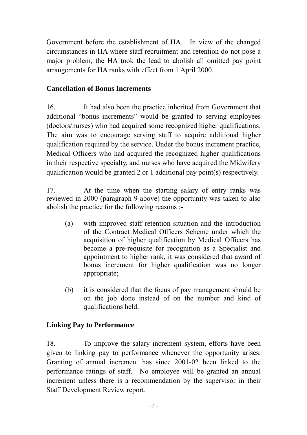Government before the establishment of HA. In view of the changed circumstances in HA where staff recruitment and retention do not pose a major problem, the HA took the lead to abolish all omitted pay point arrangements for HA ranks with effect from 1 April 2000.

# **Cancellation of Bonus Increments**

16. It had also been the practice inherited from Government that additional "bonus increments" would be granted to serving employees (doctors/nurses) who had acquired some recognized higher qualifications. The aim was to encourage serving staff to acquire additional higher qualification required by the service. Under the bonus increment practice, Medical Officers who had acquired the recognized higher qualifications in their respective specialty, and nurses who have acquired the Midwifery qualification would be granted 2 or 1 additional pay point(s) respectively.

17. At the time when the starting salary of entry ranks was reviewed in 2000 (paragraph 9 above) the opportunity was taken to also abolish the practice for the following reasons :-

- (a) with improved staff retention situation and the introduction of the Contract Medical Officers Scheme under which the acquisition of higher qualification by Medical Officers has become a pre-requisite for recognition as a Specialist and appointment to higher rank, it was considered that award of bonus increment for higher qualification was no longer appropriate;
- (b) it is considered that the focus of pay management should be on the job done instead of on the number and kind of qualifications held.

# **Linking Pay to Performance**

18. To improve the salary increment system, efforts have been given to linking pay to performance whenever the opportunity arises. Granting of annual increment has since 2001-02 been linked to the performance ratings of staff. No employee will be granted an annual increment unless there is a recommendation by the supervisor in their Staff Development Review report.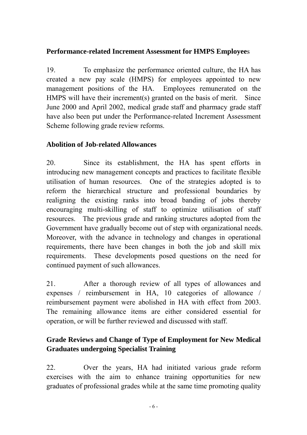# **Performance-related Increment Assessment for HMPS Employee**s

19. To emphasize the performance oriented culture, the HA has created a new pay scale (HMPS) for employees appointed to new management positions of the HA. Employees remunerated on the HMPS will have their increment(s) granted on the basis of merit. Since June 2000 and April 2002, medical grade staff and pharmacy grade staff have also been put under the Performance-related Increment Assessment Scheme following grade review reforms.

# **Abolition of Job-related Allowances**

20. Since its establishment, the HA has spent efforts in introducing new management concepts and practices to facilitate flexible utilisation of human resources. One of the strategies adopted is to reform the hierarchical structure and professional boundaries by realigning the existing ranks into broad banding of jobs thereby encouraging multi-skilling of staff to optimize utilisation of staff resources. The previous grade and ranking structures adopted from the Government have gradually become out of step with organizational needs. Moreover, with the advance in technology and changes in operational requirements, there have been changes in both the job and skill mix requirements. These developments posed questions on the need for continued payment of such allowances.

21. After a thorough review of all types of allowances and expenses / reimbursement in HA, 10 categories of allowance / reimbursement payment were abolished in HA with effect from 2003. The remaining allowance items are either considered essential for operation, or will be further reviewed and discussed with staff.

# **Grade Reviews and Change of Type of Employment for New Medical Graduates undergoing Specialist Training**

22. Over the years, HA had initiated various grade reform exercises with the aim to enhance training opportunities for new graduates of professional grades while at the same time promoting quality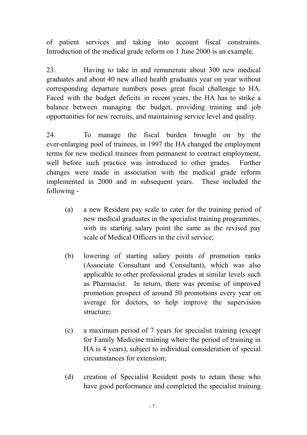of patient services and taking into account fiscal constraints. Introduction of the medical grade reform on 1 June 2000 is an example.

23. Having to take in and remunerate about 300 new medical graduates and about 40 new allied health graduates year on year without corresponding departure numbers poses great fiscal challenge to HA. Faced with the budget deficits in recent years, the HA has to strike a balance between managing the budget, providing training and job opportunities for new recruits, and maintaining service level and quality.

24. To manage the fiscal burden brought on by the ever-enlarging pool of trainees, in 1997 the HA changed the employment terms for new medical trainees from permanent to contract employment, well before such practice was introduced to other grades. Further changes were made in association with the medical grade reform implemented in 2000 and in subsequent years. These included the following -

- (a) a new Resident pay scale to cater for the training period of new medical graduates in the specialist training programmes, with its starting salary point the same as the revised pay scale of Medical Officers in the civil service;
- (b) lowering of starting salary points of promotion ranks (Associate Consultant and Consultant), which was also applicable to other professional grades at similar levels such as Pharmacist. In return, there was promise of improved promotion prospect of around 50 promotions every year on average for doctors, to help improve the supervision structure;
- (c) a maximum period of 7 years for specialist training (except for Family Medicine training where the period of training in HA is 4 years), subject to individual consideration of special circumstances for extension;
- (d) creation of Specialist Resident posts to retain those who have good performance and completed the specialist training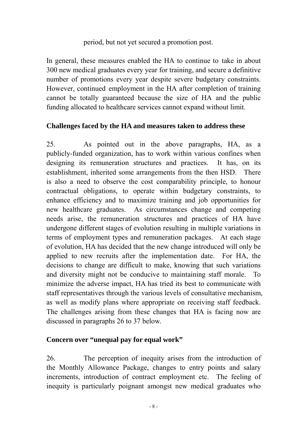# period, but not yet secured a promotion post.

In general, these measures enabled the HA to continue to take in about 300 new medical graduates every year for training, and secure a definitive number of promotions every year despite severe budgetary constraints. However, continued employment in the HA after completion of training cannot be totally guaranteed because the size of HA and the public funding allocated to healthcare services cannot expand without limit.

# **Challenges faced by the HA and measures taken to address these**

25. As pointed out in the above paragraphs, HA, as a publicly-funded organization, has to work within various confines when designing its remuneration structures and practices. It has, on its establishment, inherited some arrangements from the then HSD. There is also a need to observe the cost comparability principle, to honour contractual obligations, to operate within budgetary constraints, to enhance efficiency and to maximize training and job opportunities for new healthcare graduates. As circumstances change and competing needs arise, the remuneration structures and practices of HA have undergone different stages of evolution resulting in multiple variations in terms of employment types and remuneration packages. At each stage of evolution, HA has decided that the new change introduced will only be applied to new recruits after the implementation date. For HA, the decisions to change are difficult to make, knowing that such variations and diversity might not be conducive to maintaining staff morale. To minimize the adverse impact, HA has tried its best to communicate with staff representatives through the various levels of consultative mechanism, as well as modify plans where appropriate on receiving staff feedback. The challenges arising from these changes that HA is facing now are discussed in paragraphs 26 to 37 below.

# **Concern over "unequal pay for equal work"**

26. The perception of inequity arises from the introduction of the Monthly Allowance Package, changes to entry points and salary increments, introduction of contract employment etc. The feeling of inequity is particularly poignant amongst new medical graduates who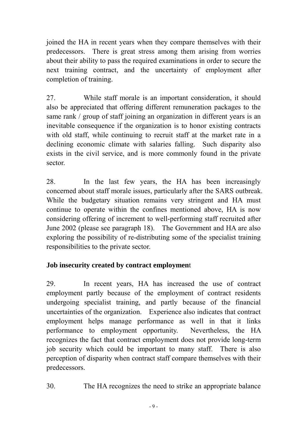joined the HA in recent years when they compare themselves with their predecessors. There is great stress among them arising from worries about their ability to pass the required examinations in order to secure the next training contract, and the uncertainty of employment after completion of training.

27. While staff morale is an important consideration, it should also be appreciated that offering different remuneration packages to the same rank / group of staff joining an organization in different years is an inevitable consequence if the organization is to honor existing contracts with old staff, while continuing to recruit staff at the market rate in a declining economic climate with salaries falling. Such disparity also exists in the civil service, and is more commonly found in the private sector.

28. In the last few years, the HA has been increasingly concerned about staff morale issues, particularly after the SARS outbreak. While the budgetary situation remains very stringent and HA must continue to operate within the confines mentioned above, HA is now considering offering of increment to well-performing staff recruited after June 2002 (please see paragraph 18). The Government and HA are also exploring the possibility of re-distributing some of the specialist training responsibilities to the private sector.

# **Job insecurity created by contract employmen**t

29. In recent years, HA has increased the use of contract employment partly because of the employment of contract residents undergoing specialist training, and partly because of the financial uncertainties of the organization. Experience also indicates that contract employment helps manage performance as well in that it links performance to employment opportunity. Nevertheless, the HA recognizes the fact that contract employment does not provide long-term job security which could be important to many staff. There is also perception of disparity when contract staff compare themselves with their predecessors.

30. The HA recognizes the need to strike an appropriate balance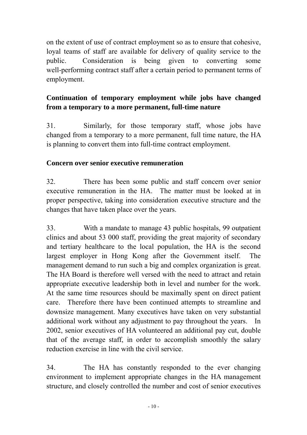on the extent of use of contract employment so as to ensure that cohesive, loyal teams of staff are available for delivery of quality service to the public. Consideration is being given to converting some well-performing contract staff after a certain period to permanent terms of employment.

# **Continuation of temporary employment while jobs have changed from a temporary to a more permanent, full-time nature**

31. Similarly, for those temporary staff, whose jobs have changed from a temporary to a more permanent, full time nature, the HA is planning to convert them into full-time contract employment.

# **Concern over senior executive remuneration**

32. There has been some public and staff concern over senior executive remuneration in the HA. The matter must be looked at in proper perspective, taking into consideration executive structure and the changes that have taken place over the years.

33. With a mandate to manage 43 public hospitals, 99 outpatient clinics and about 53 000 staff, providing the great majority of secondary and tertiary healthcare to the local population, the HA is the second largest employer in Hong Kong after the Government itself. The management demand to run such a big and complex organization is great. The HA Board is therefore well versed with the need to attract and retain appropriate executive leadership both in level and number for the work. At the same time resources should be maximally spent on direct patient care. Therefore there have been continued attempts to streamline and downsize management. Many executives have taken on very substantial additional work without any adjustment to pay throughout the years. In 2002, senior executives of HA volunteered an additional pay cut, double that of the average staff, in order to accomplish smoothly the salary reduction exercise in line with the civil service.

34. The HA has constantly responded to the ever changing environment to implement appropriate changes in the HA management structure, and closely controlled the number and cost of senior executives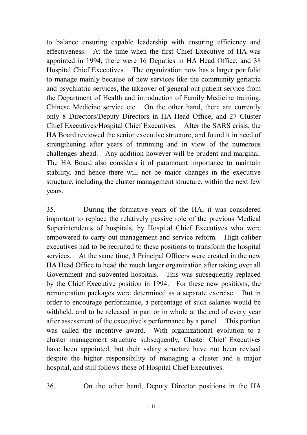to balance ensuring capable leadership with ensuring efficiency and effectiveness. At the time when the first Chief Executive of HA was appointed in 1994, there were 16 Deputies in HA Head Office, and 38 Hospital Chief Executives. The organization now has a larger portfolio to manage mainly because of new services like the community geriatric and psychiatric services, the takeover of general out patient service from the Department of Health and introduction of Family Medicine training, Chinese Medicine service etc. On the other hand, there are currently only 8 Directors/Deputy Directors in HA Head Office, and 27 Cluster Chief Executives/Hospital Chief Executives. After the SARS crisis, the HA Board reviewed the senior executive structure, and found it in need of strengthening after years of trimming and in view of the numerous challenges ahead. Any addition however will be prudent and marginal. The HA Board also considers it of paramount importance to maintain stability, and hence there will not be major changes in the executive structure, including the cluster management structure, within the next few years.

35. During the formative years of the HA, it was considered important to replace the relatively passive role of the previous Medical Superintendents of hospitals, by Hospital Chief Executives who were empowered to carry out management and service reform. High caliber executives had to be recruited to these positions to transform the hospital services. At the same time, 3 Principal Officers were created in the new HA Head Office to head the much larger organization after taking over all Government and subvented hospitals. This was subsequently replaced by the Chief Executive position in 1994. For these new positions, the remuneration packages were determined as a separate exercise. But in order to encourage performance, a percentage of such salaries would be withheld, and to be released in part or in whole at the end of every year after assessment of the executive's performance by a panel. This portion was called the incentive award. With organizational evolution to a cluster management structure subsequently, Cluster Chief Executives have been appointed, but their salary structure have not been revised despite the higher responsibility of managing a cluster and a major hospital, and still follows those of Hospital Chief Executives.

36. On the other hand, Deputy Director positions in the HA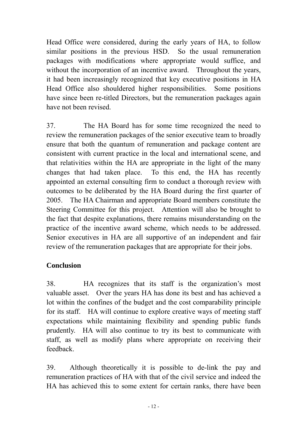Head Office were considered, during the early years of HA, to follow similar positions in the previous HSD. So the usual remuneration packages with modifications where appropriate would suffice, and without the incorporation of an incentive award. Throughout the years, it had been increasingly recognized that key executive positions in HA Head Office also shouldered higher responsibilities. Some positions have since been re-titled Directors, but the remuneration packages again have not been revised.

37. The HA Board has for some time recognized the need to review the remuneration packages of the senior executive team to broadly ensure that both the quantum of remuneration and package content are consistent with current practice in the local and international scene, and that relativities within the HA are appropriate in the light of the many changes that had taken place. To this end, the HA has recently appointed an external consulting firm to conduct a thorough review with outcomes to be deliberated by the HA Board during the first quarter of 2005. The HA Chairman and appropriate Board members constitute the Steering Committee for this project. Attention will also be brought to the fact that despite explanations, there remains misunderstanding on the practice of the incentive award scheme, which needs to be addressed. Senior executives in HA are all supportive of an independent and fair review of the remuneration packages that are appropriate for their jobs.

# **Conclusion**

38. HA recognizes that its staff is the organization's most valuable asset. Over the years HA has done its best and has achieved a lot within the confines of the budget and the cost comparability principle for its staff. HA will continue to explore creative ways of meeting staff expectations while maintaining flexibility and spending public funds prudently. HA will also continue to try its best to communicate with staff, as well as modify plans where appropriate on receiving their feedback.

39. Although theoretically it is possible to de-link the pay and remuneration practices of HA with that of the civil service and indeed the HA has achieved this to some extent for certain ranks, there have been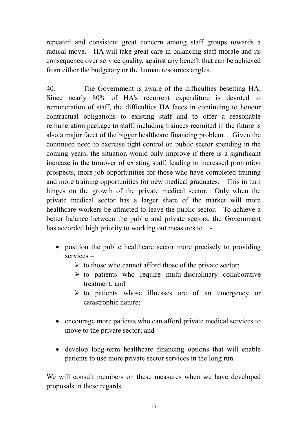repeated and consistent great concern among staff groups towards a radical move. HA will take great care in balancing staff morale and its consequence over service quality, against any benefit that can be achieved from either the budgetary or the human resources angles.

40. The Government is aware of the difficulties besetting HA. Since nearly 80% of HA's recurrent expenditure is devoted to remuneration of staff, the difficulties HA faces in continuing to honour contractual obligations to existing staff and to offer a reasonable remuneration package to staff, including trainees recruited in the future is also a major facet of the bigger healthcare financing problem. Given the continued need to exercise tight control on public sector spending in the coming years, the situation would only improve if there is a significant increase in the turnover of existing staff, leading to increased promotion prospects, more job opportunities for those who have completed training and more training opportunities for new medical graduates. This in turn hinges on the growth of the private medical sector. Only when the private medical sector has a larger share of the market will more healthcare workers be attracted to leave the public sector. To achieve a better balance between the public and private sectors, the Government has accorded high priority to working out measures to -

- position the public healthcare sector more precisely to providing services –
	- $\triangleright$  to those who cannot afford those of the private sector;
	- $\triangleright$  to patients who require multi-disciplinary collaborative treatment; and
	- $\triangleright$  to patients whose illnesses are of an emergency or catastrophic nature;
- encourage more patients who can afford private medical services to move to the private sector; and
- develop long-term healthcare financing options that will enable patients to use more private sector services in the long run.

We will consult members on these measures when we have developed proposals in these regards.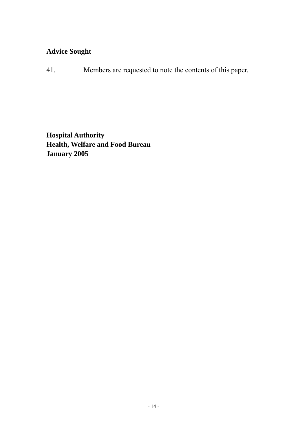# **Advice Sought**

41. Members are requested to note the contents of this paper.

**Hospital Authority Health, Welfare and Food Bureau January 2005**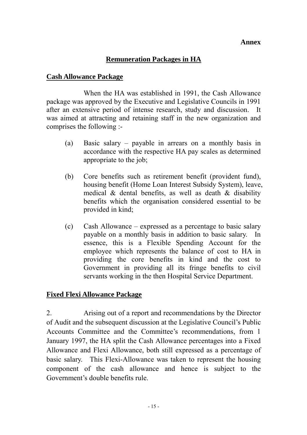#### **Annex**

#### **Remuneration Packages in HA**

#### **Cash Allowance Package**

When the HA was established in 1991, the Cash Allowance package was approved by the Executive and Legislative Councils in 1991 after an extensive period of intense research, study and discussion. It was aimed at attracting and retaining staff in the new organization and comprises the following :-

- (a) Basic salary payable in arrears on a monthly basis in accordance with the respective HA pay scales as determined appropriate to the job;
- (b) Core benefits such as retirement benefit (provident fund), housing benefit (Home Loan Interest Subsidy System), leave, medical  $\&$  dental benefits, as well as death  $\&$  disability benefits which the organisation considered essential to be provided in kind;
- (c) Cash Allowance expressed as a percentage to basic salary payable on a monthly basis in addition to basic salary. In essence, this is a Flexible Spending Account for the employee which represents the balance of cost to HA in providing the core benefits in kind and the cost to Government in providing all its fringe benefits to civil servants working in the then Hospital Service Department.

#### **Fixed Flexi Allowance Package**

2. Arising out of a report and recommendations by the Director of Audit and the subsequent discussion at the Legislative Council's Public Accounts Committee and the Committee's recommendations, from 1 January 1997, the HA split the Cash Allowance percentages into a Fixed Allowance and Flexi Allowance, both still expressed as a percentage of basic salary. This Flexi-Allowance was taken to represent the housing component of the cash allowance and hence is subject to the Government's double benefits rule.